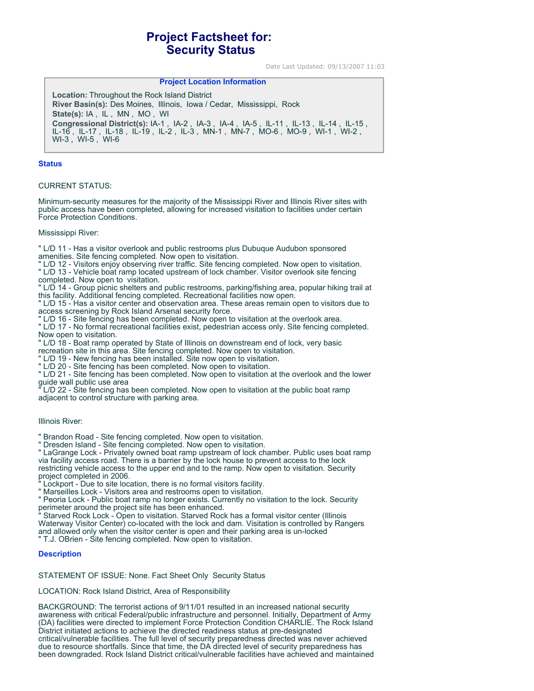# **Project Factsheet for: Security Status**

Date Last Updated: 09/13/2007 11:03

# **Project Location Information**

**Location:** Throughout the Rock Island District **River Basin(s):** Des Moines, Illinois, Iowa / Cedar, Mississippi, Rock **State(s):** IA , IL , MN , MO , WI **Congressional District(s):** IA-1 , IA-2 , IA-3 , IA-4 , IA-5 , IL-11 , IL-13 , IL-14 , IL-15 , IL-16 , IL-17 , IL-18 , IL-19 , IL-2 , IL-3 , MN-1 , MN-7 , MO-6 , MO-9 , WI-1 , WI-2 , WI-3 , WI-5 , WI-6

#### **Status**

## CURRENT STATUS:

Minimum-security measures for the majority of the Mississippi River and Illinois River sites with public access have been completed, allowing for increased visitation to facilities under certain Force Protection Conditions.

#### Mississippi River:

" L/D 11 - Has a visitor overlook and public restrooms plus Dubuque Audubon sponsored

- amenities. Site fencing completed. Now open to visitation.
- " L/D 12 Visitors enjoy observing river traffic. Site fencing completed. Now open to visitation.

" L/D 13 - Vehicle boat ramp located upstream of lock chamber. Visitor overlook site fencing completed. Now open to visitation.

" L/D 14 - Group picnic shelters and public restrooms, parking/fishing area, popular hiking trail at this facility. Additional fencing completed. Recreational facilities now open.

" L/D 15 - Has a visitor center and observation area. These areas remain open to visitors due to access screening by Rock Island Arsenal security force.

" L/D 16 - Site fencing has been completed. Now open to visitation at the overlook area.

" L/D 17 - No formal recreational facilities exist, pedestrian access only. Site fencing completed. Now open to visitation.

" L/D 18 - Boat ramp operated by State of Illinois on downstream end of lock, very basic recreation site in this area. Site fencing completed. Now open to visitation.

- " L/D 19 New fencing has been installed. Site now open to visitation.
- " L/D 20 Site fencing has been completed. Now open to visitation.

" L/D 21 - Site fencing has been completed. Now open to visitation at the overlook and the lower guide wall public use area

" L/D 22 - Site fencing has been completed. Now open to visitation at the public boat ramp adjacent to control structure with parking area.

## Illinois River:

" Brandon Road - Site fencing completed. Now open to visitation.

" Dresden Island - Site fencing completed. Now open to visitation.

" LaGrange Lock - Privately owned boat ramp upstream of lock chamber. Public uses boat ramp via facility access road. There is a barrier by the lock house to prevent access to the lock restricting vehicle access to the upper end and to the ramp. Now open to visitation. Security project completed in 2006.

Lockport - Due to site location, there is no formal visitors facility.

" Marseilles Lock - Visitors area and restrooms open to visitation.

" Peoria Lock - Public boat ramp no longer exists. Currently no visitation to the lock. Security perimeter around the project site has been enhanced.

Starved Rock Lock - Open to visitation. Starved Rock has a formal visitor center (Illinois Waterway Visitor Center) co-located with the lock and dam. Visitation is controlled by Rangers and allowed only when the visitor center is open and their parking area is un-locked " T.J. OBrien - Site fencing completed. Now open to visitation.

## **Description**

STATEMENT OF ISSUE: None. Fact Sheet Only Security Status

LOCATION: Rock Island District, Area of Responsibility

BACKGROUND: The terrorist actions of 9/11/01 resulted in an increased national security awareness with critical Federal/public infrastructure and personnel. Initially, Department of Army (DA) facilities were directed to implement Force Protection Condition CHARLIE. The Rock Island District initiated actions to achieve the directed readiness status at pre-designated critical/vulnerable facilities. The full level of security preparedness directed was never achieved due to resource shortfalls. Since that time, the DA directed level of security preparedness has been downgraded. Rock Island District critical/vulnerable facilities have achieved and maintained